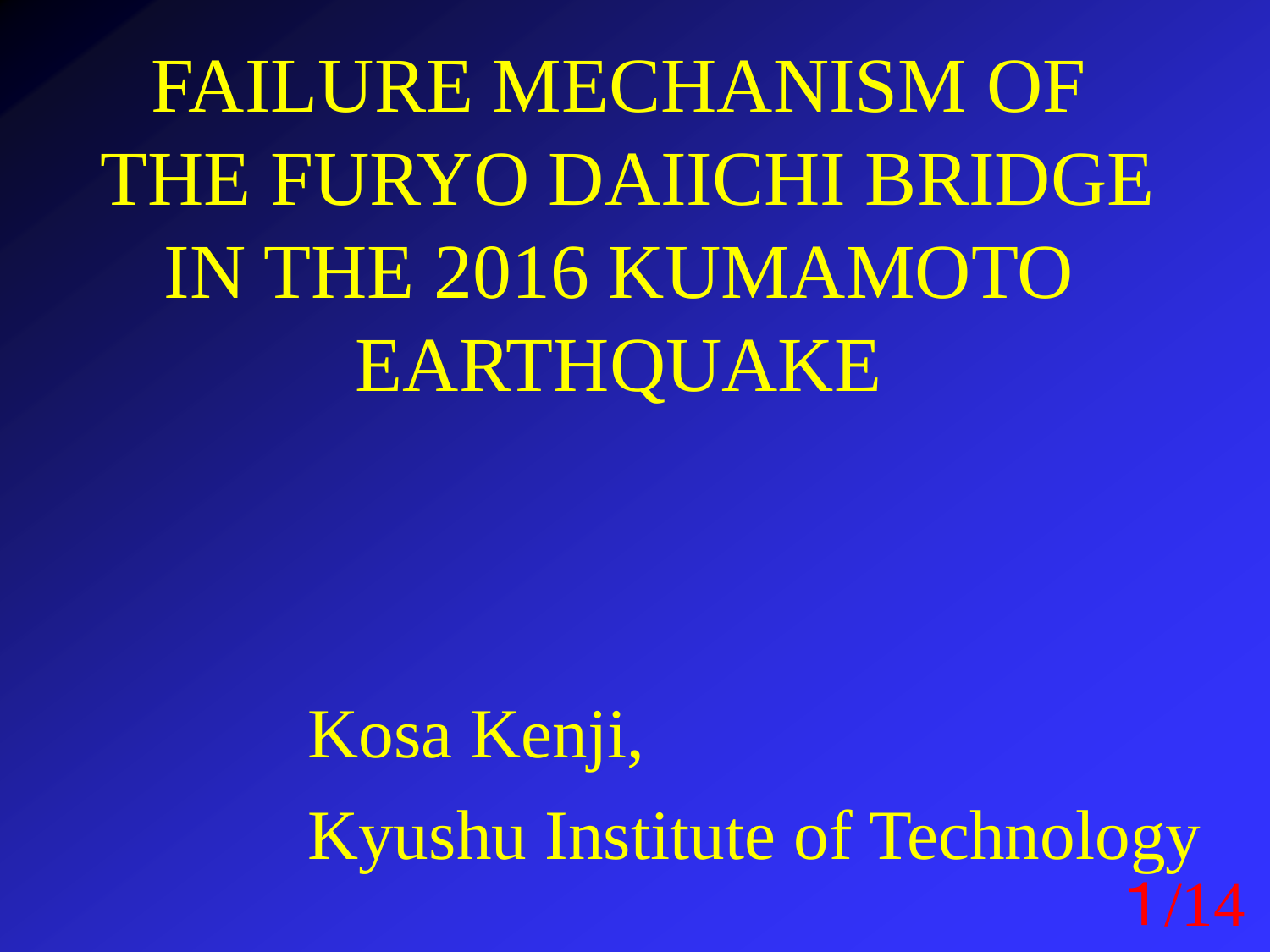FAILURE MECHANISM OF THE FURYO DAIICHI BRIDGE IN THE 2016 KUMAMOTO EARTHQUAKE

> Kosa Kenji, Kyushu Institute of Technology 1/14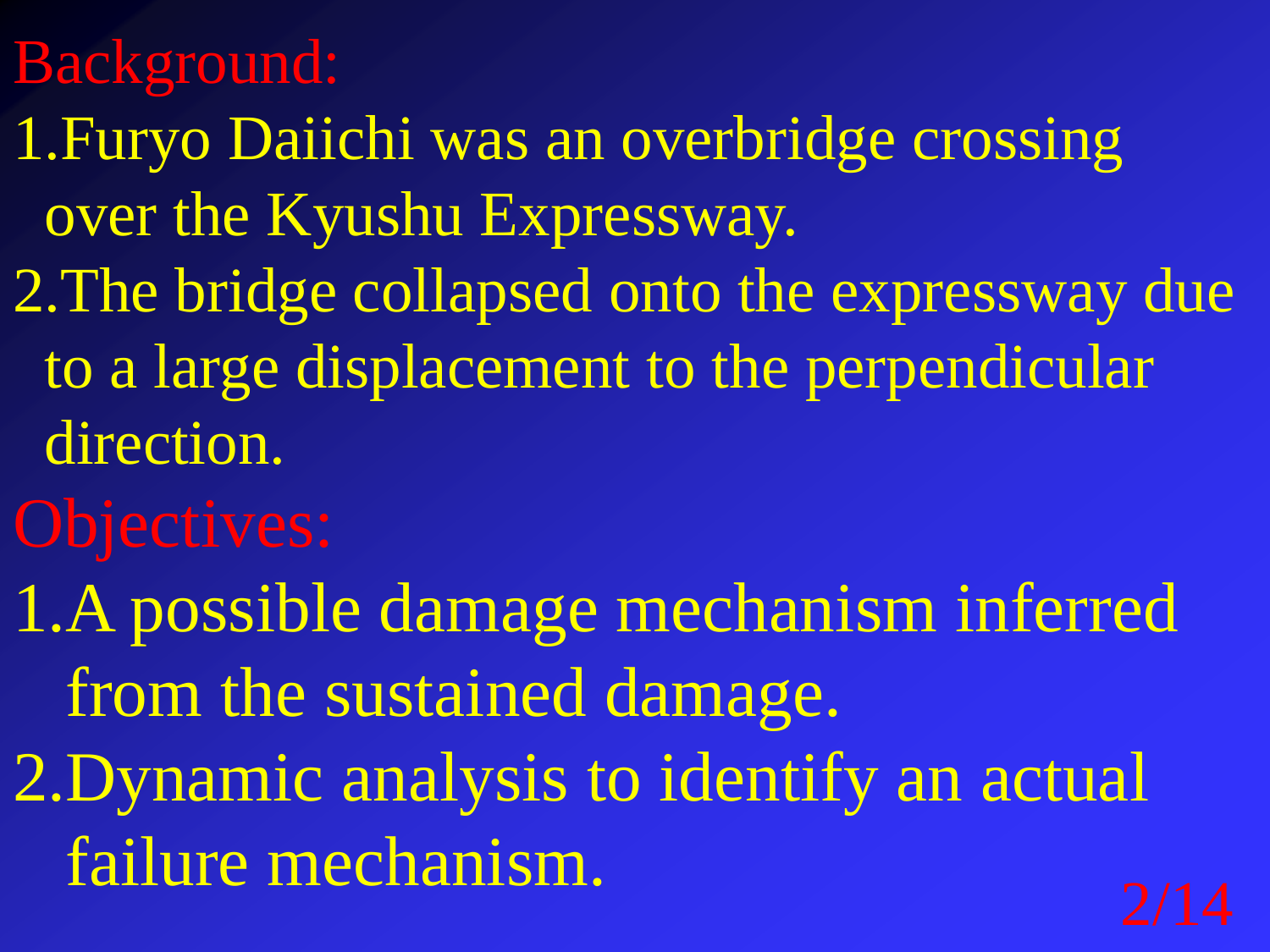## Background:

- 1.Furyo Daiichi was an overbridge crossing over the Kyushu Expressway.
- 2.The bridge collapsed onto the expressway due to a large displacement to the perpendicular direction.
- Objectives:
- 1.A possible damage mechanism inferred from the sustained damage. 2.Dynamic analysis to identify an actual
	- failure mechanism.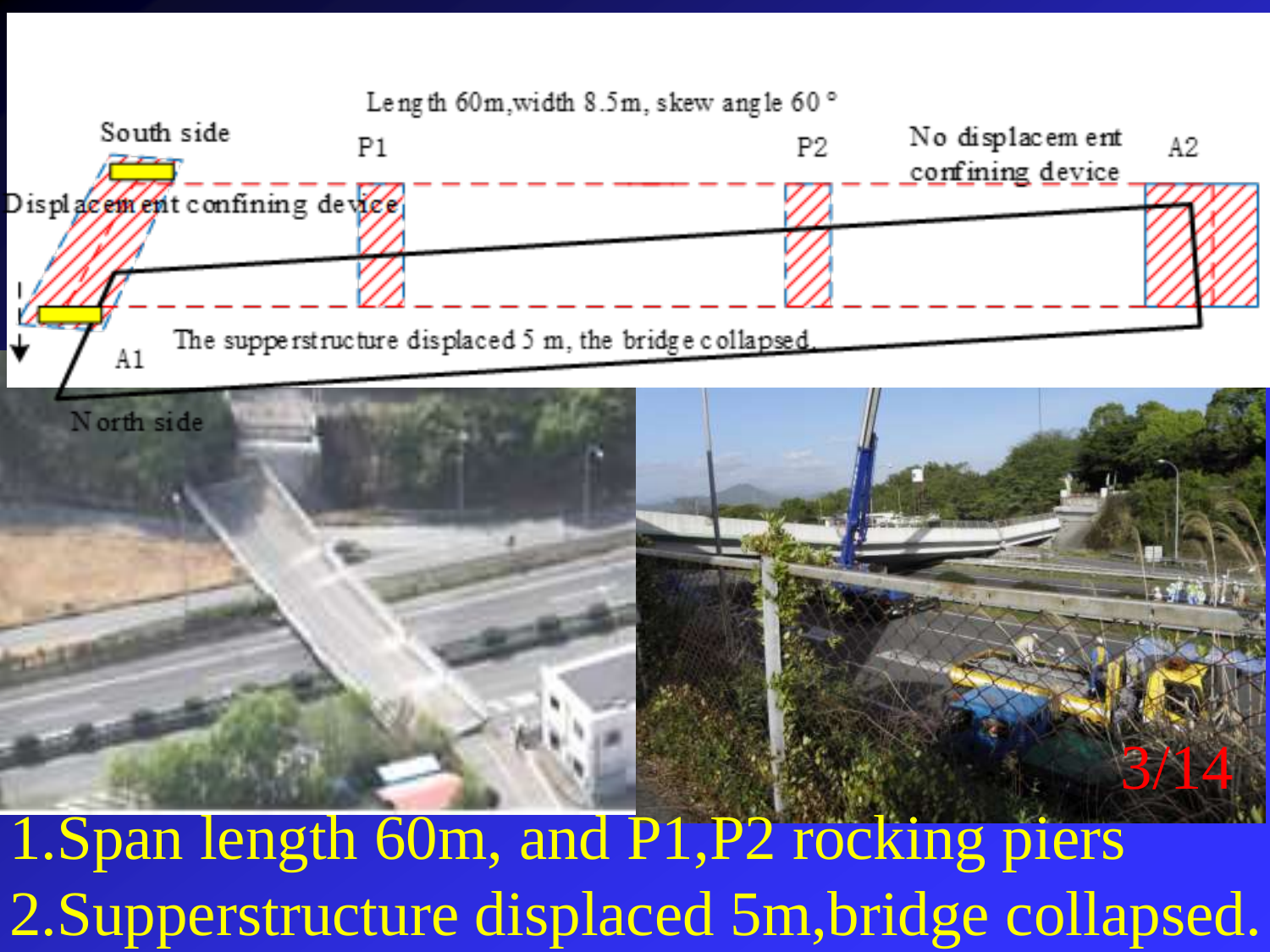

2.Supperstructure displaced 5m,bridge collapsed.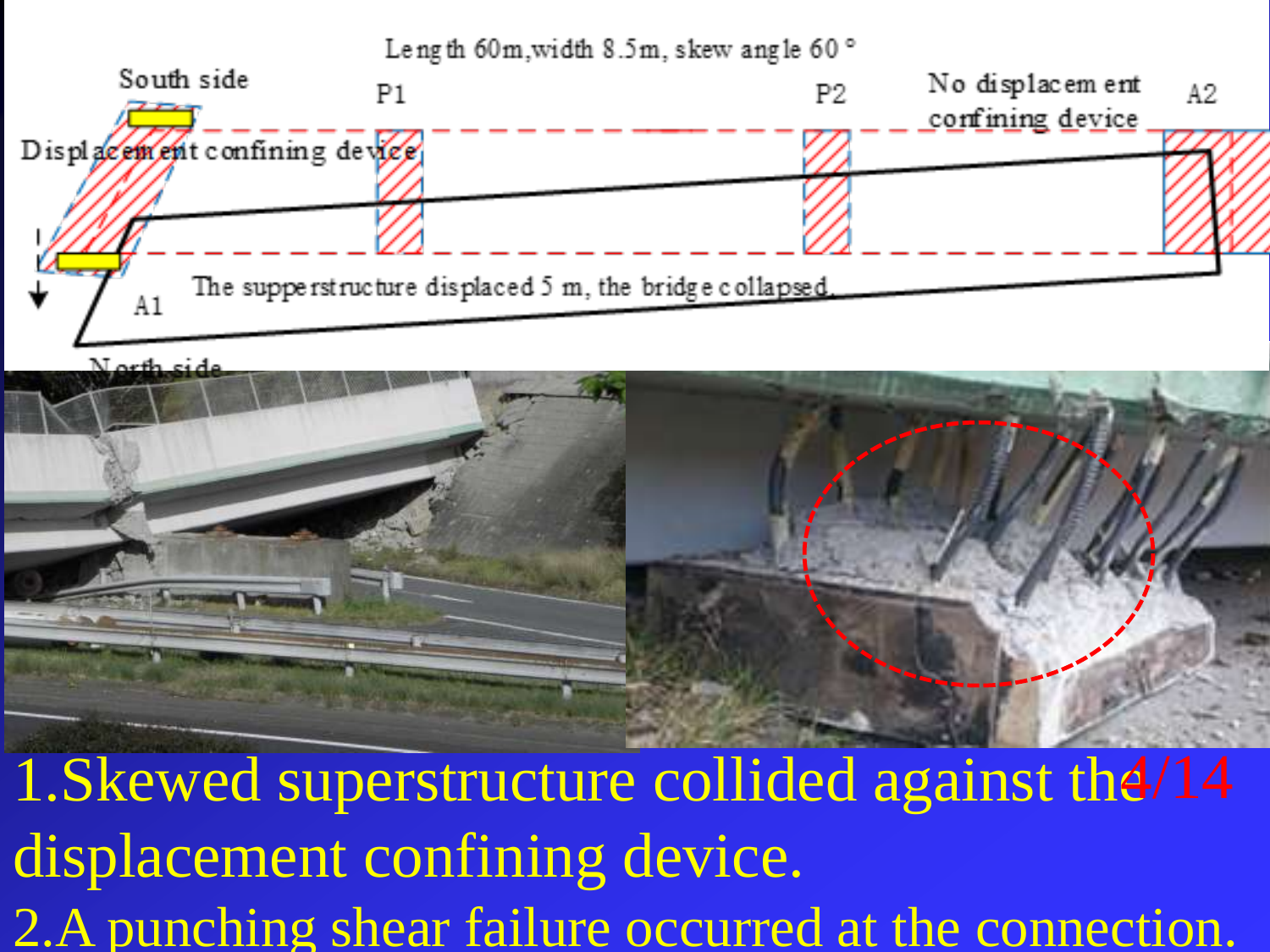



1. Skewed superstructure collided against the /14 displacement confining device. 2.A punching shear failure occurred at the connection.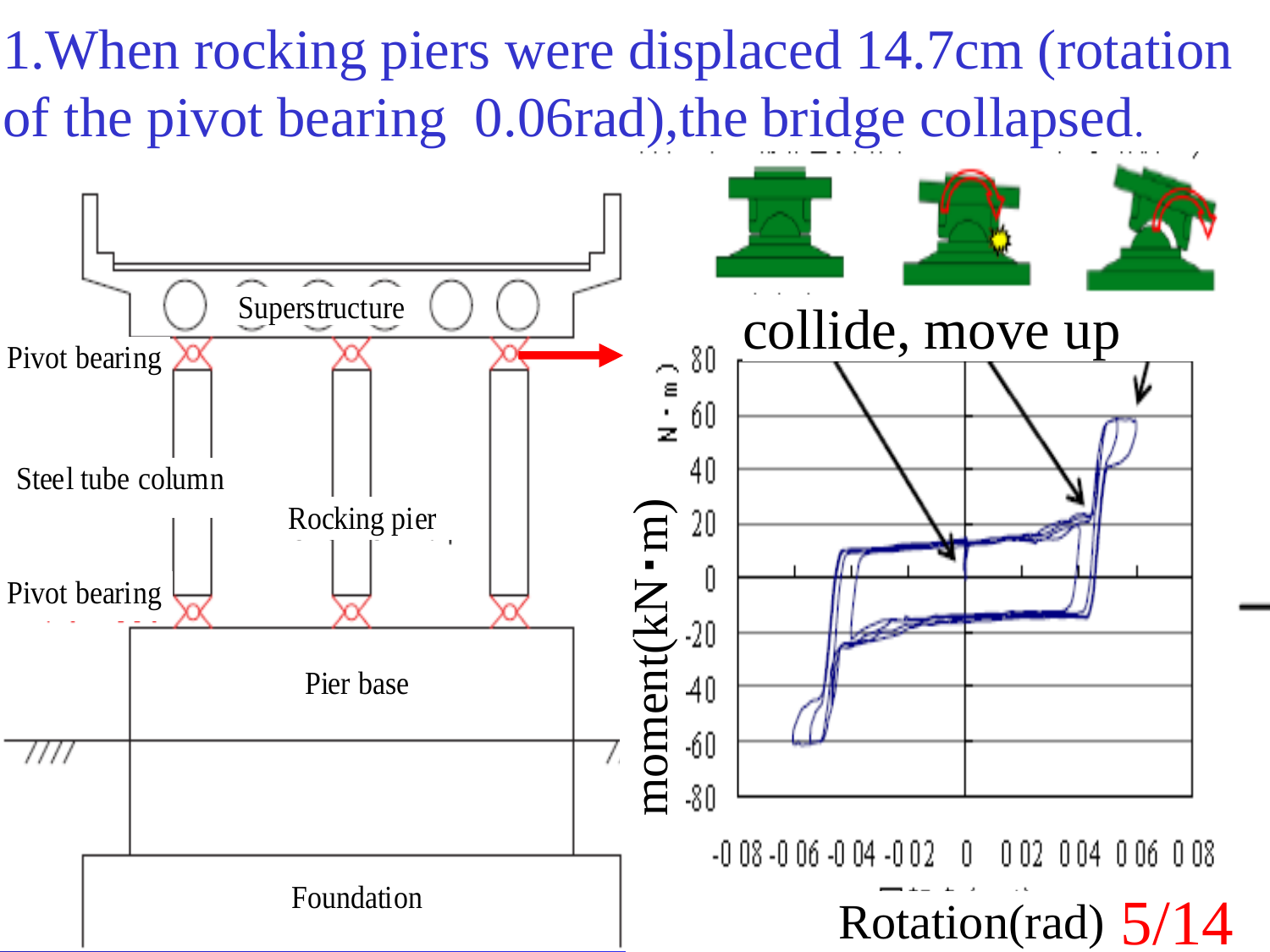1.When rocking piers were displaced 14.7cm (rotation of the pivot bearing 0.06rad),the bridge collapsed.

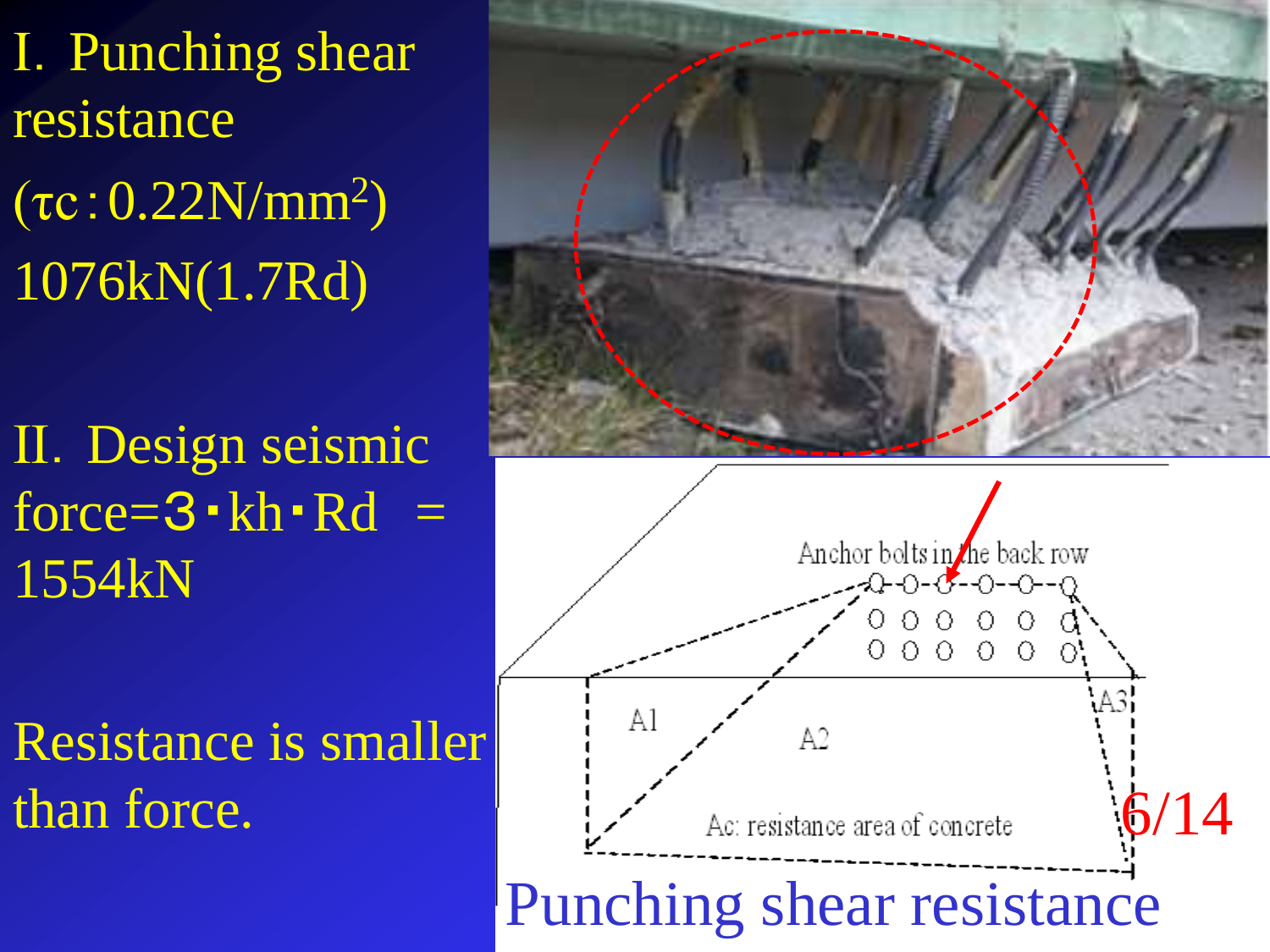Ⅰ.Punching shear resistance  $(τc: 0.22N/mm<sup>2</sup>)$ 1076kN(1.7Rd)

Ⅱ.Design seismic force= $3 \cdot kh \cdot Rd =$ 1554kN

Resistance is smaller than force.



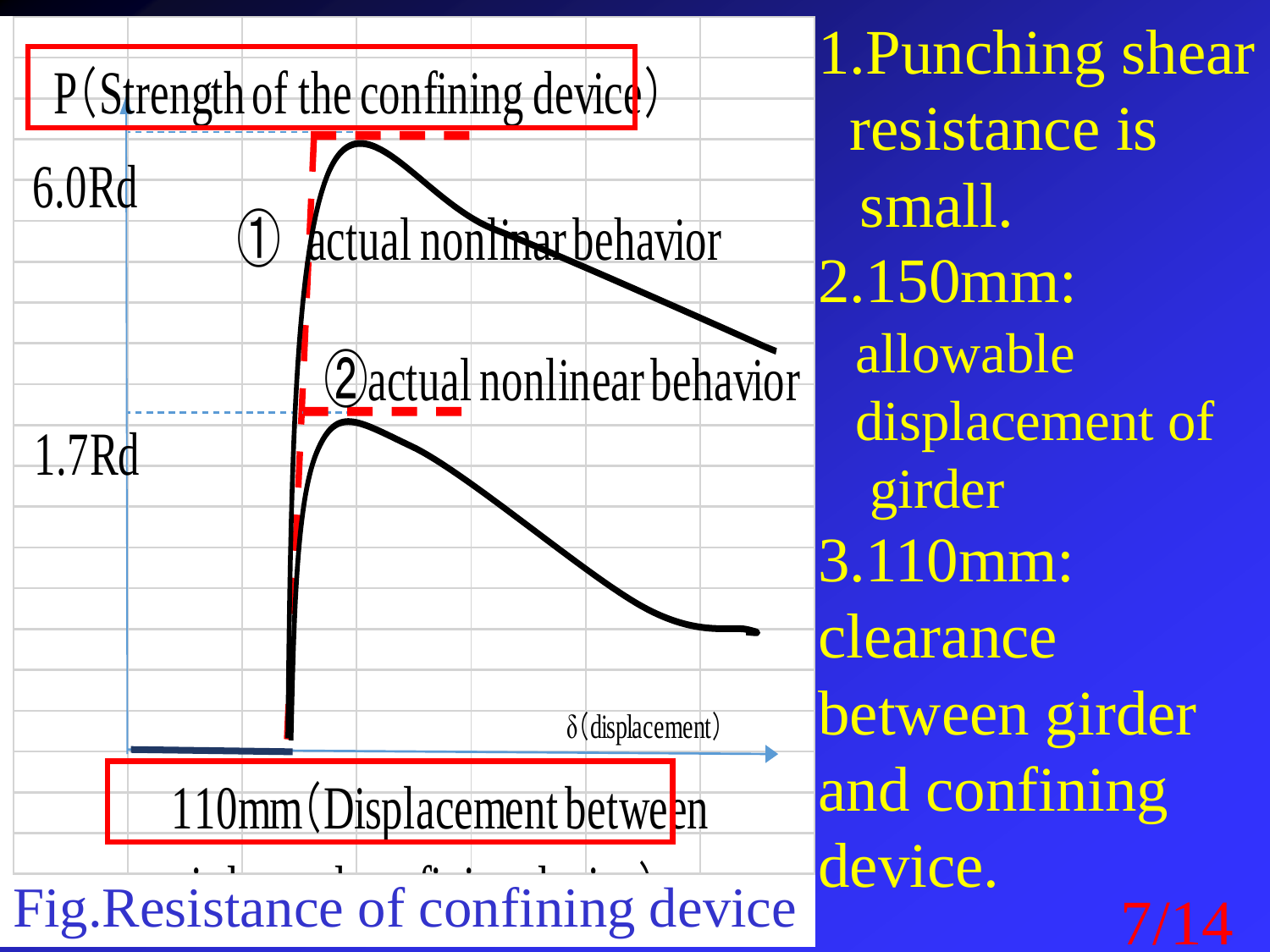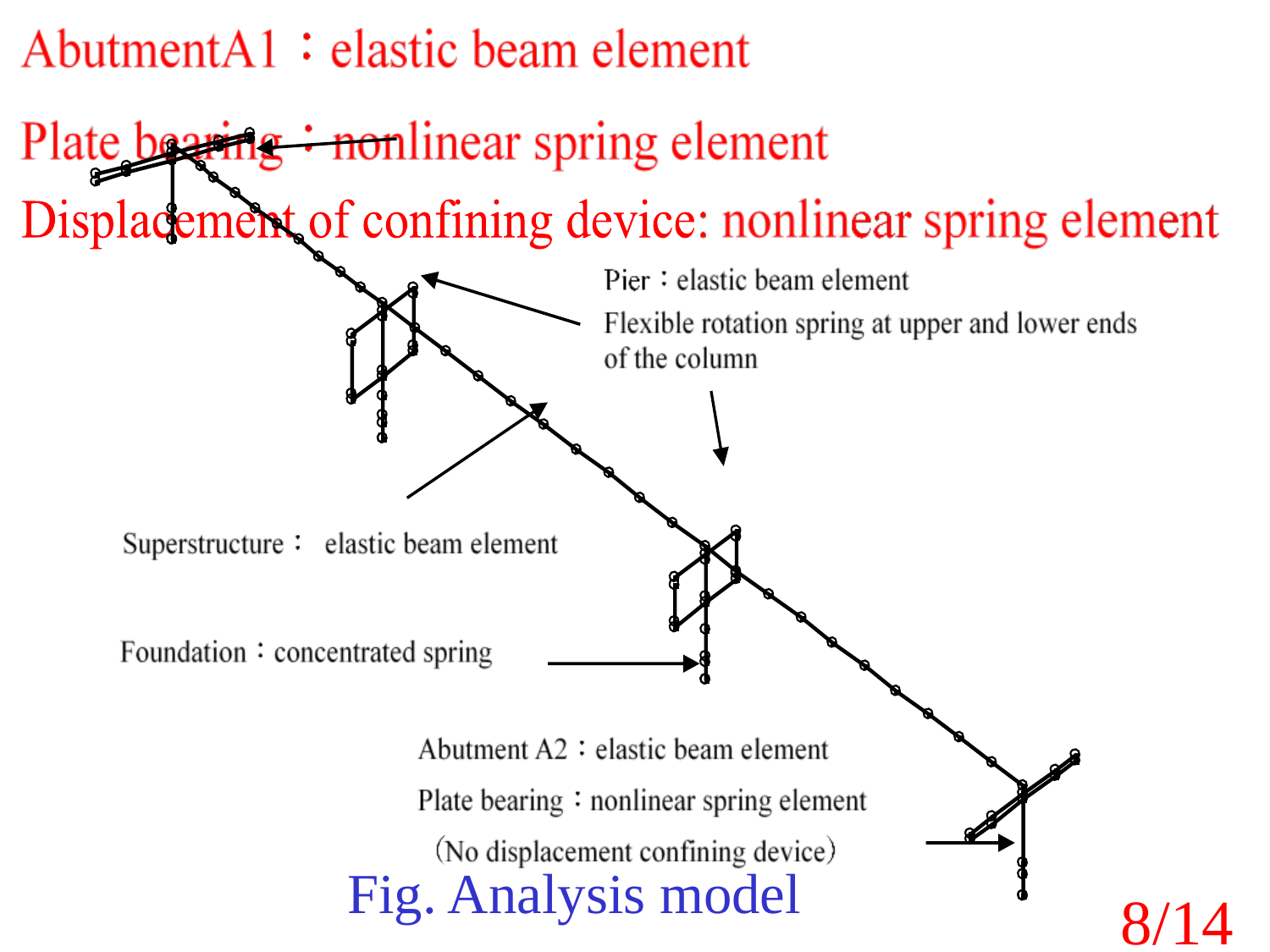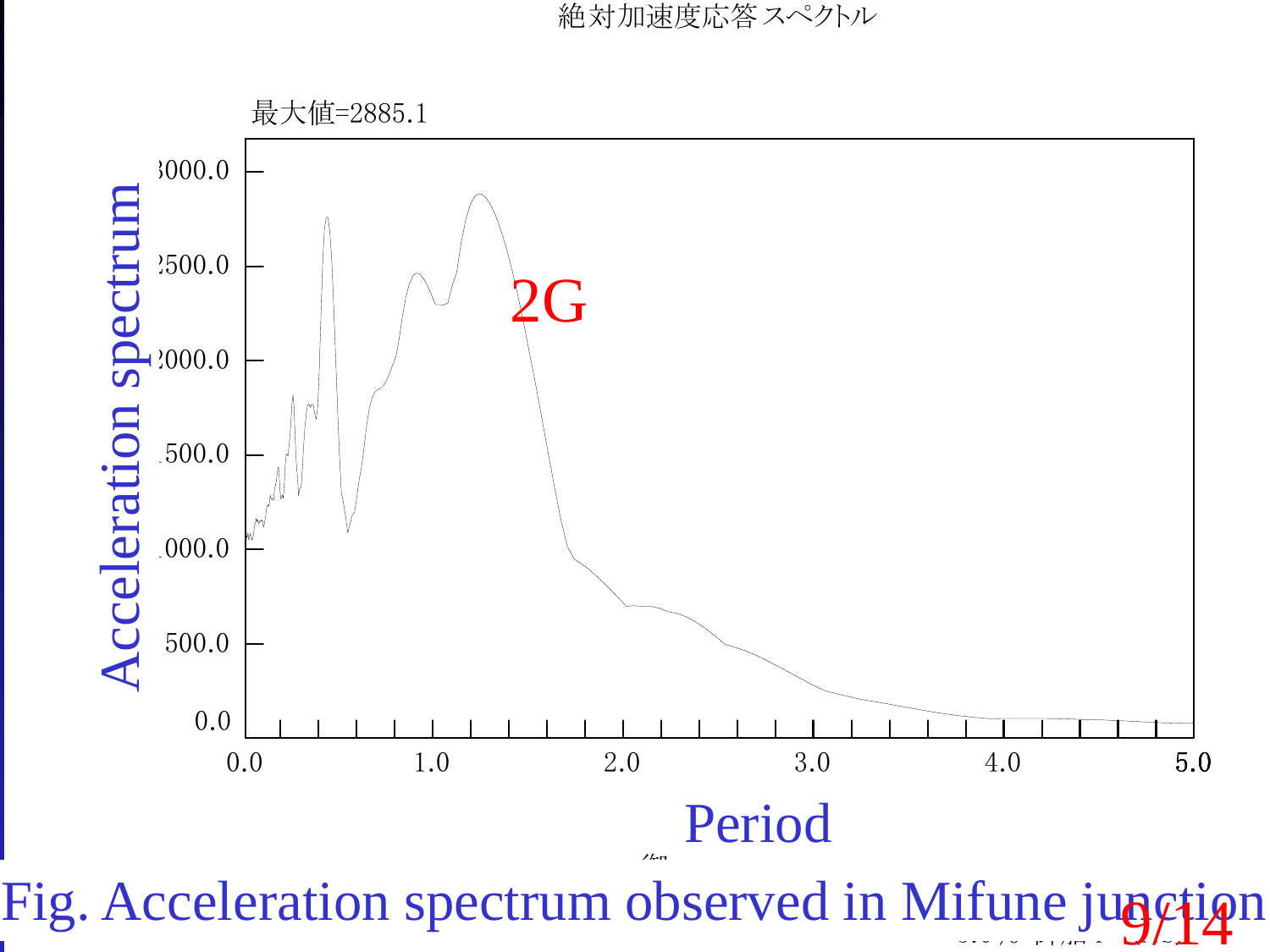絶対加速度応答スペクトル

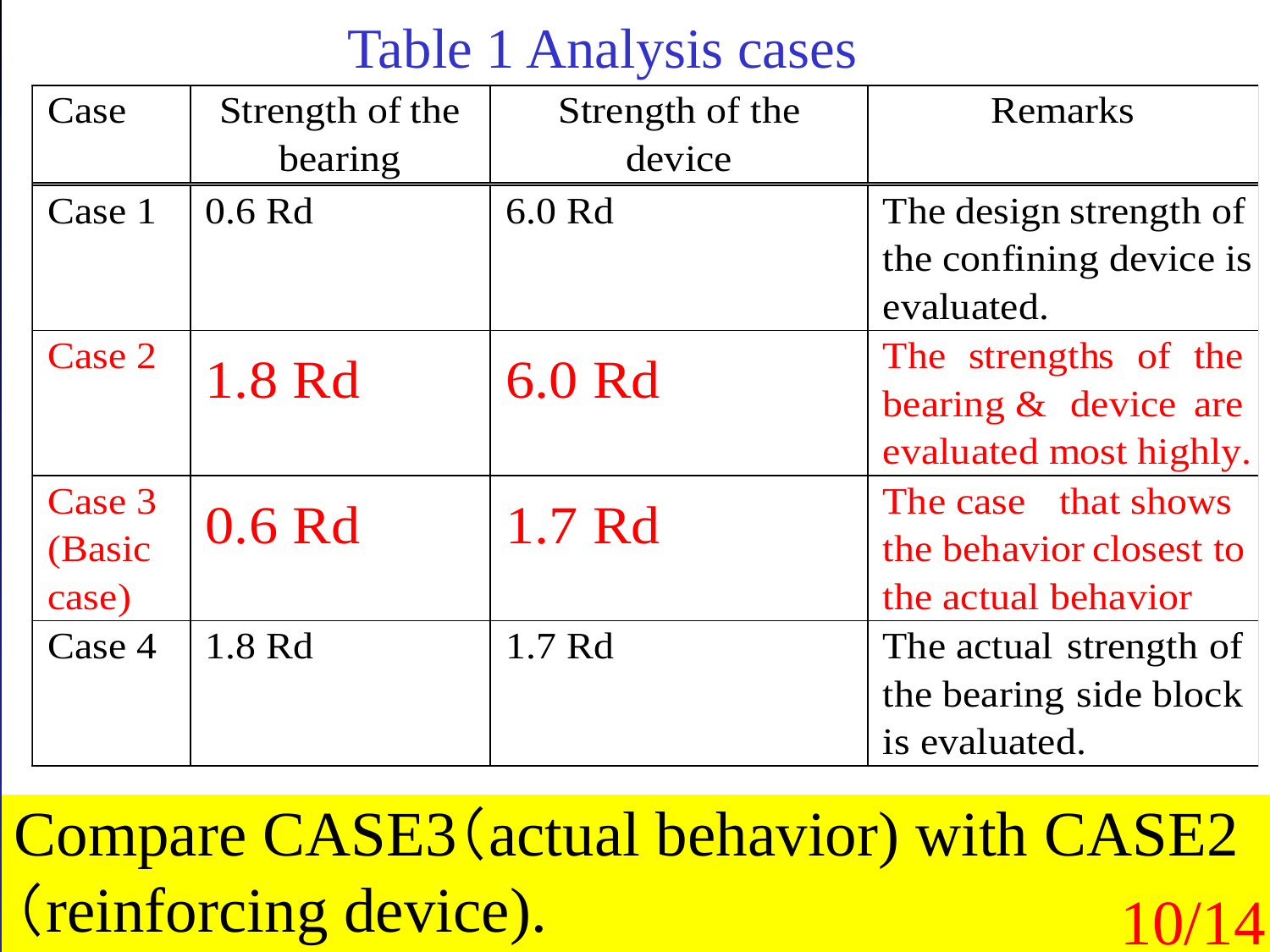## Table 1 Analysis cases

| Case   | Strength of the   | Strength of the | Remarks                 |
|--------|-------------------|-----------------|-------------------------|
|        | bearing           | device          |                         |
| Case 1 | 0.6 <sub>Rd</sub> | 6.0 Rd          | The design strength of  |
|        |                   |                 | the confining device is |
|        |                   |                 | evaluated.              |
| Case 2 | 1.8 Rd            | 6.0 Rd          | The strengths of the    |
|        |                   |                 | bearing & device are    |
|        |                   |                 | evaluated most highly.  |
| Case 3 | 0.6 Rd            | 1.7 Rd          | The case that shows     |
| (Basic |                   |                 | the behavior closest to |
| case)  |                   |                 | the actual behavior     |
| Case 4 | 1.8 Rd            | 1.7 Rd          | The actual strength of  |
|        |                   |                 | the bearing side block  |
|        |                   |                 | is evaluated.           |

Compare CASE3(actual behavior) with CASE2 (reinforcing device). 10/14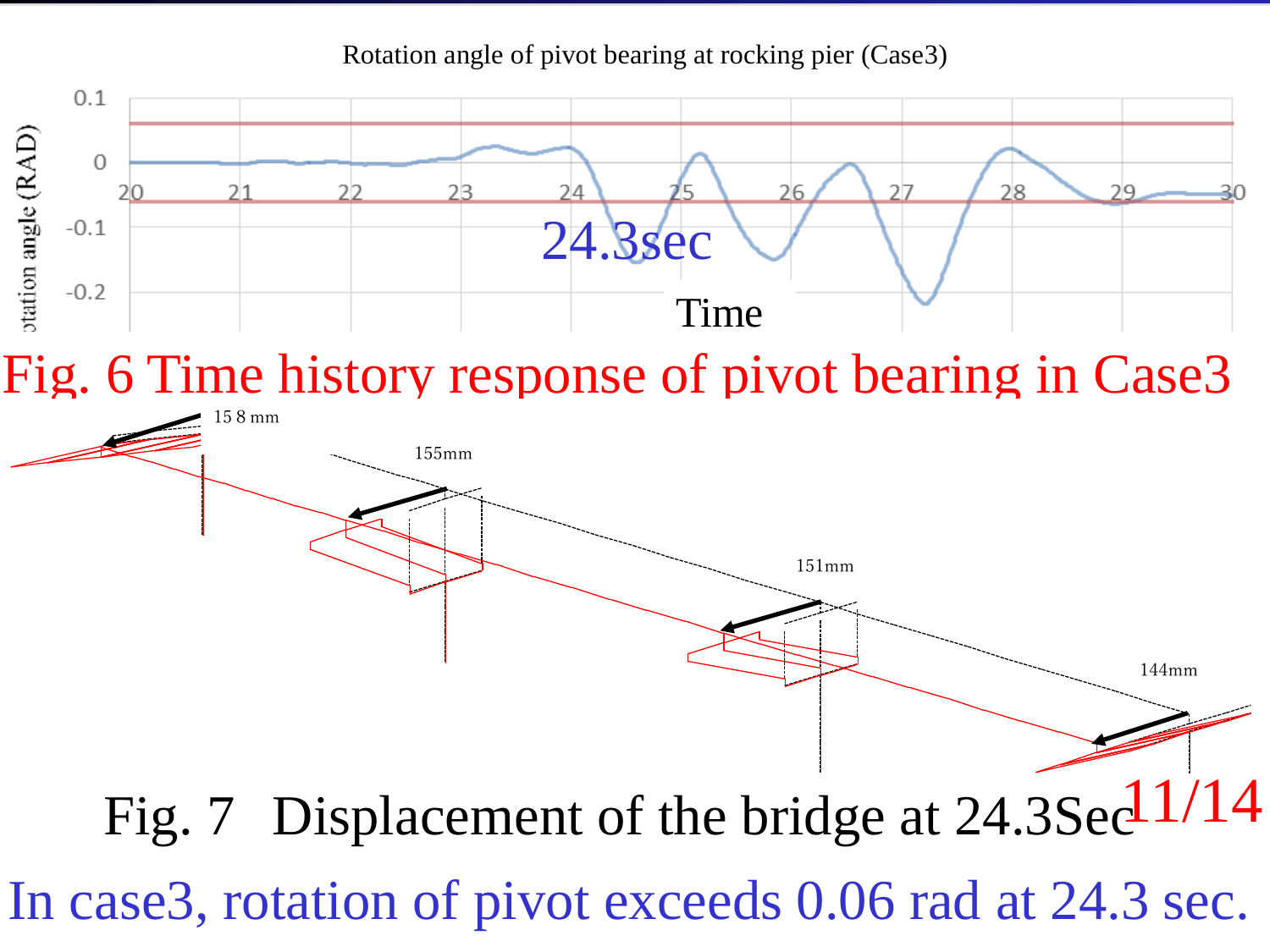

Rotation angle of pivot bearing at rocking pier (Case3)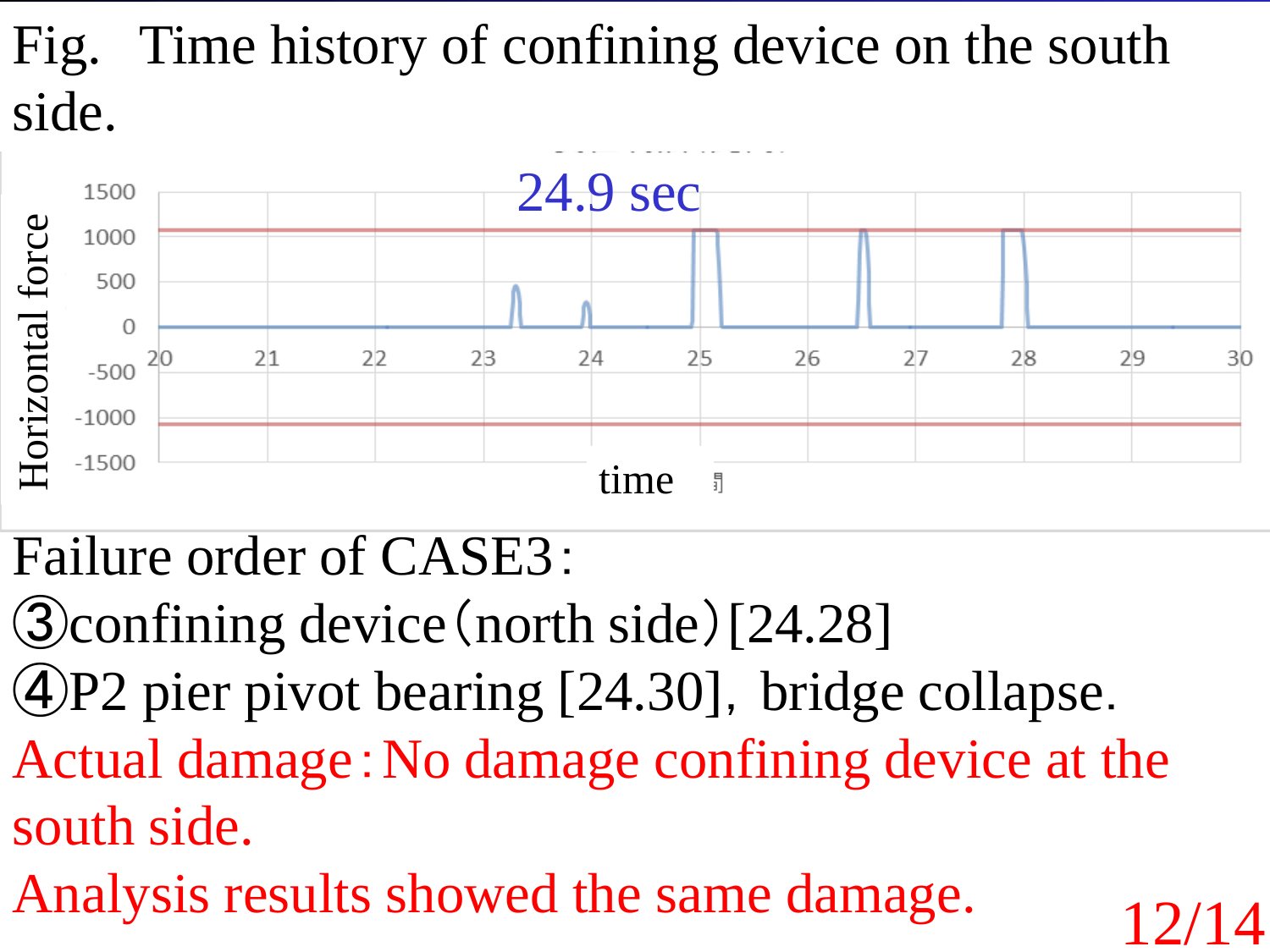## Fig. Time history of confining device on the south side.



Failure order of CASE3:

- ③confining device(north side)[24.28]
- $\Phi$ P2 pier pivot bearing [24.30], bridge collapse.
- Actual damage:No damage confining device at the south side.

12/14

Analysis results showed the same damage.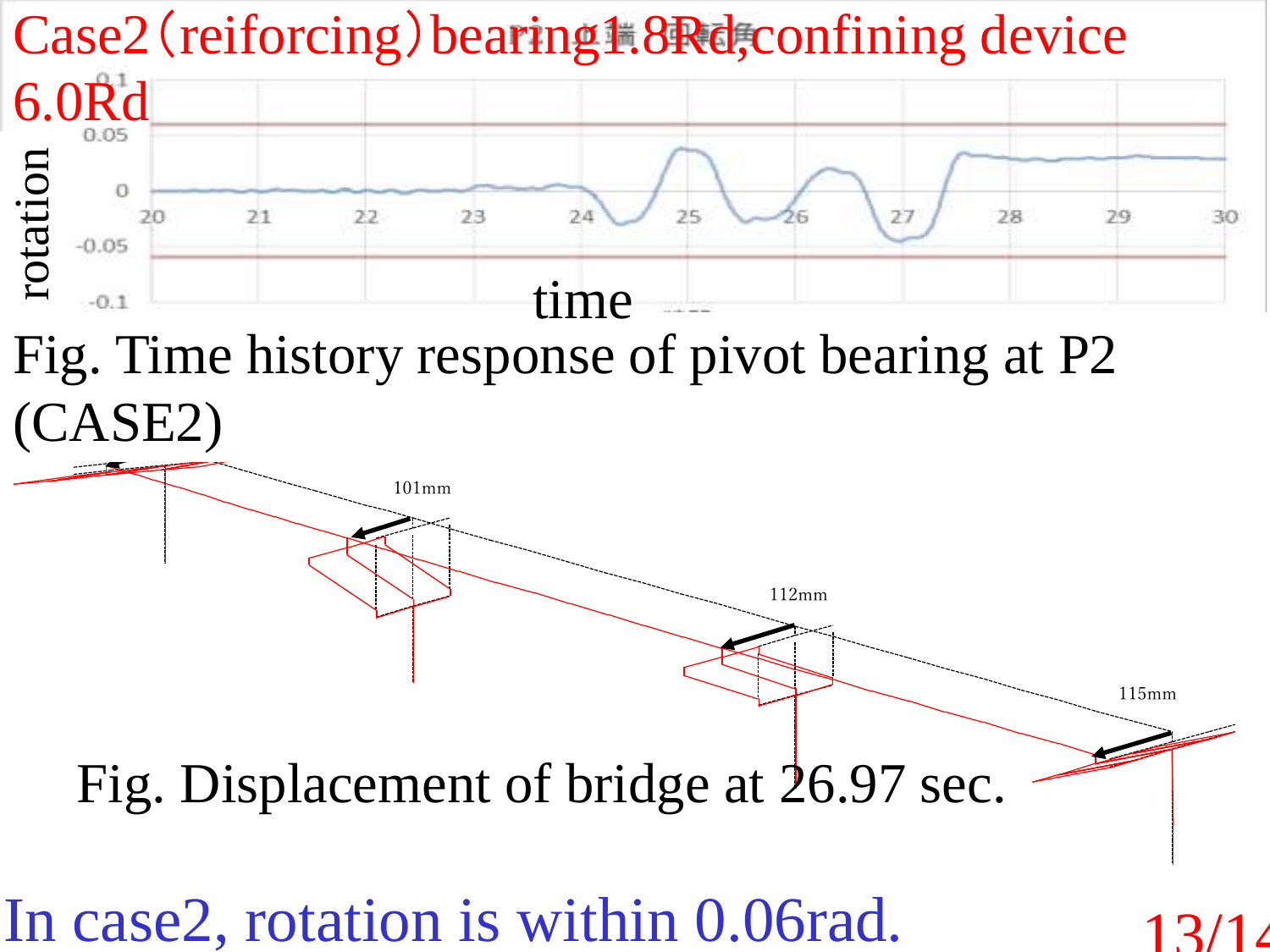

112mm

115mm

 $\overline{\phantom{a}}$ 

 $\blacksquare$ Fig. Time history response of pivot bearing at P2 (CASE2)

Fig. Displacement of bridge at 26.97 sec.

In case2, rotation is within 0.06rad.

101mm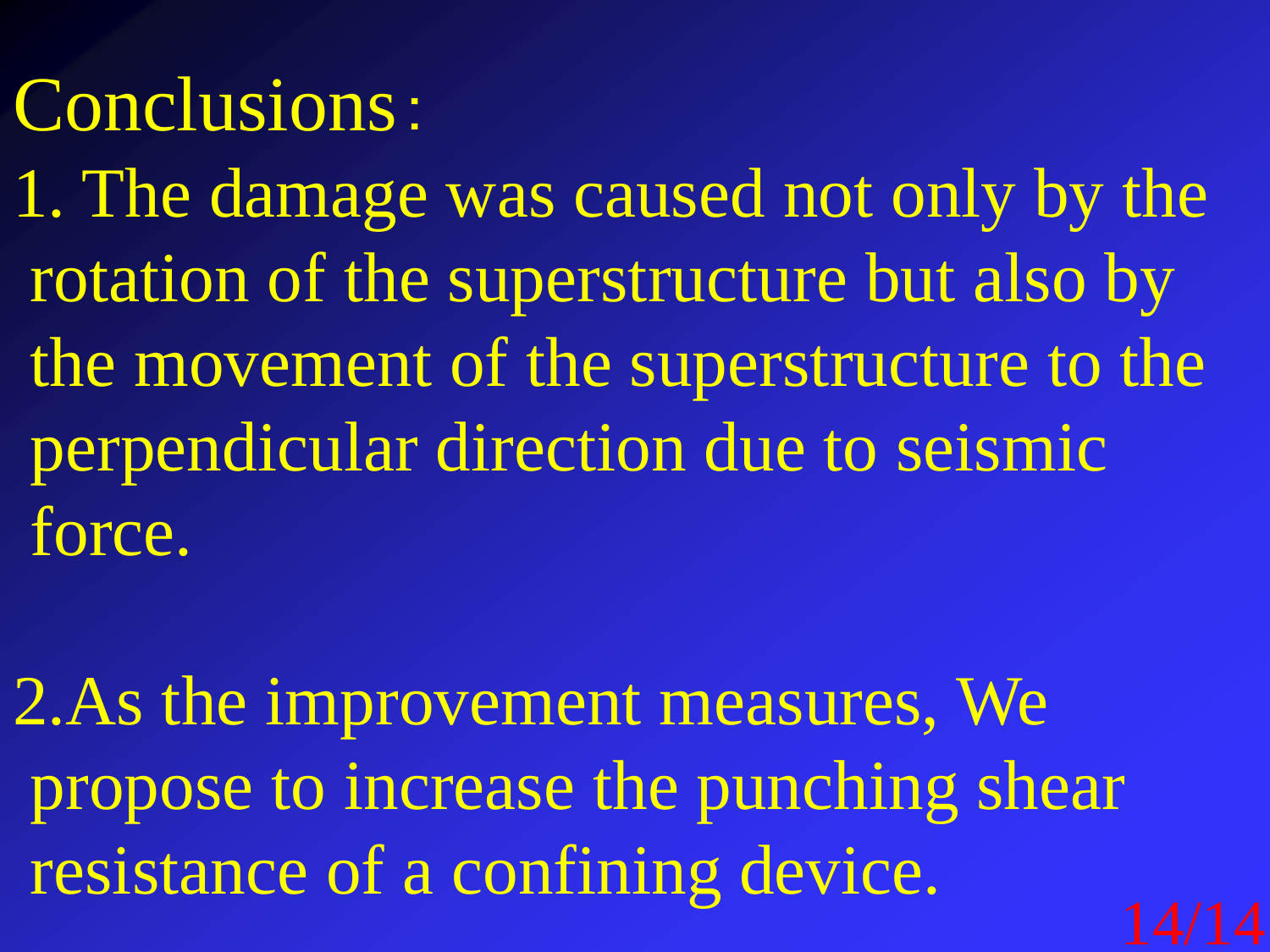## Conclusions:

1. The damage was caused not only by the rotation of the superstructure but also by the movement of the superstructure to the perpendicular direction due to seismic force.

2.As the improvement measures, We propose to increase the punching shear resistance of a confining device.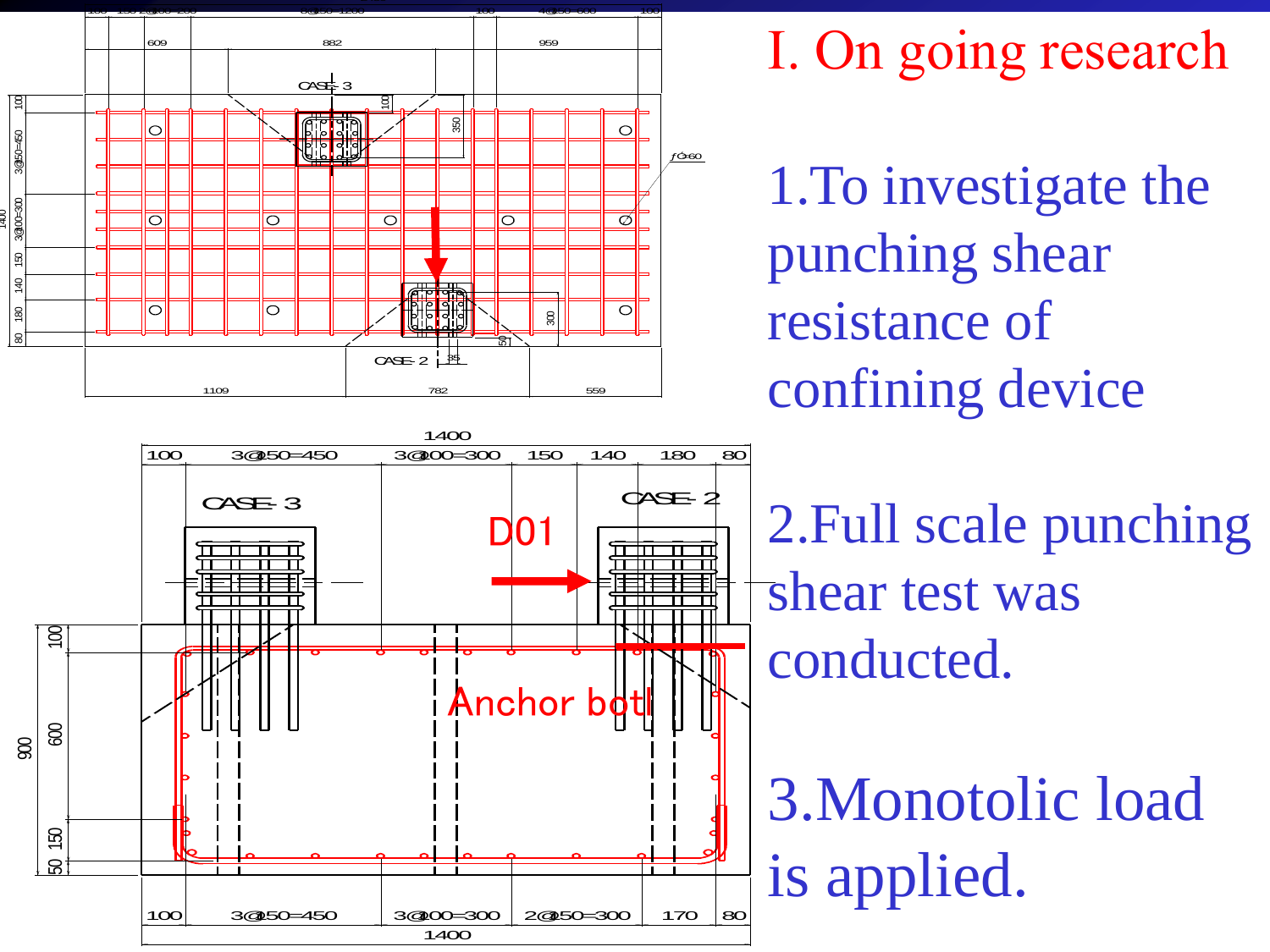



1.To investigate the punching shear resistance of confining device

2.Full scale punching shear test was conducted.

3.Monotolic load is applied.

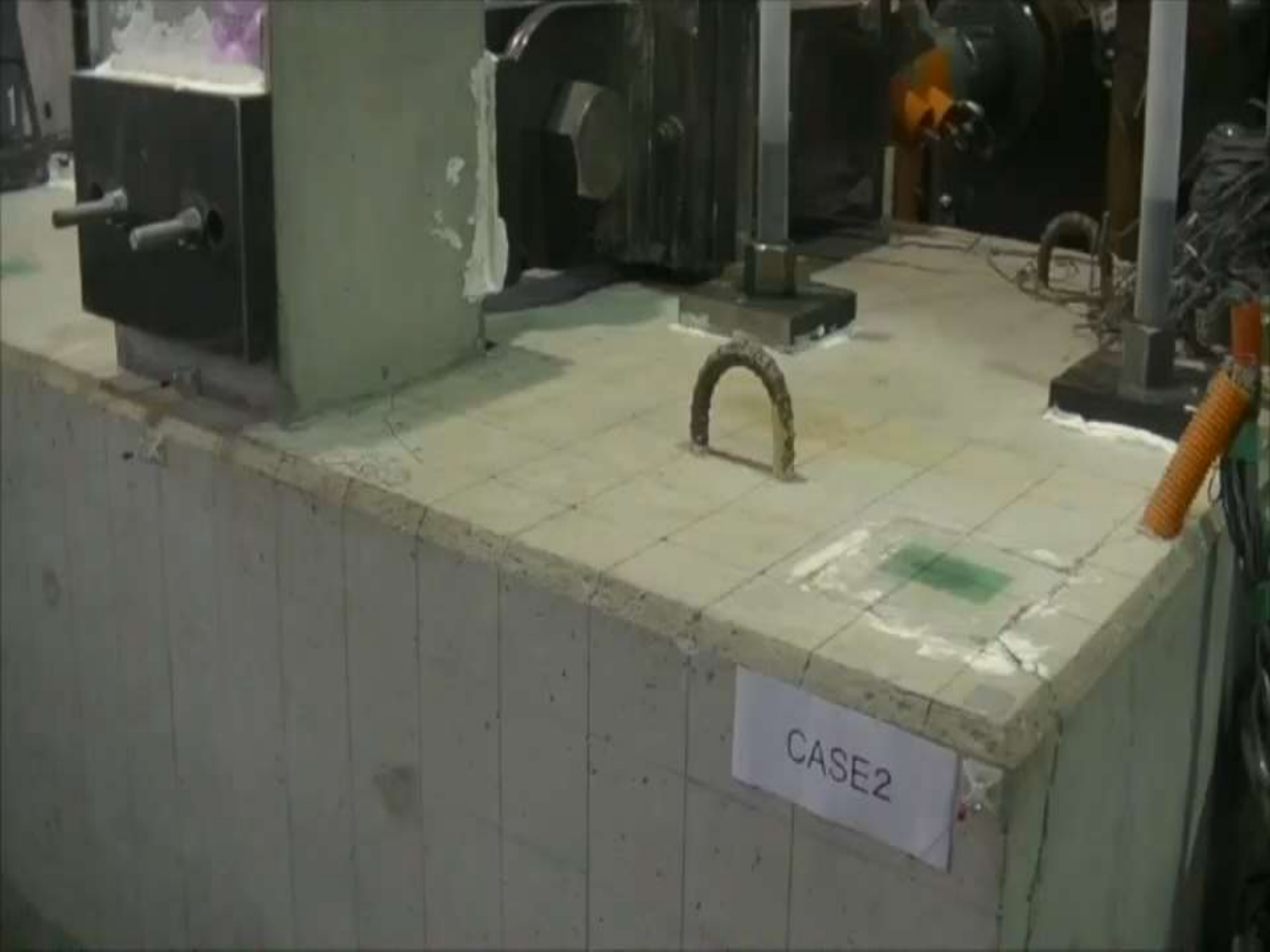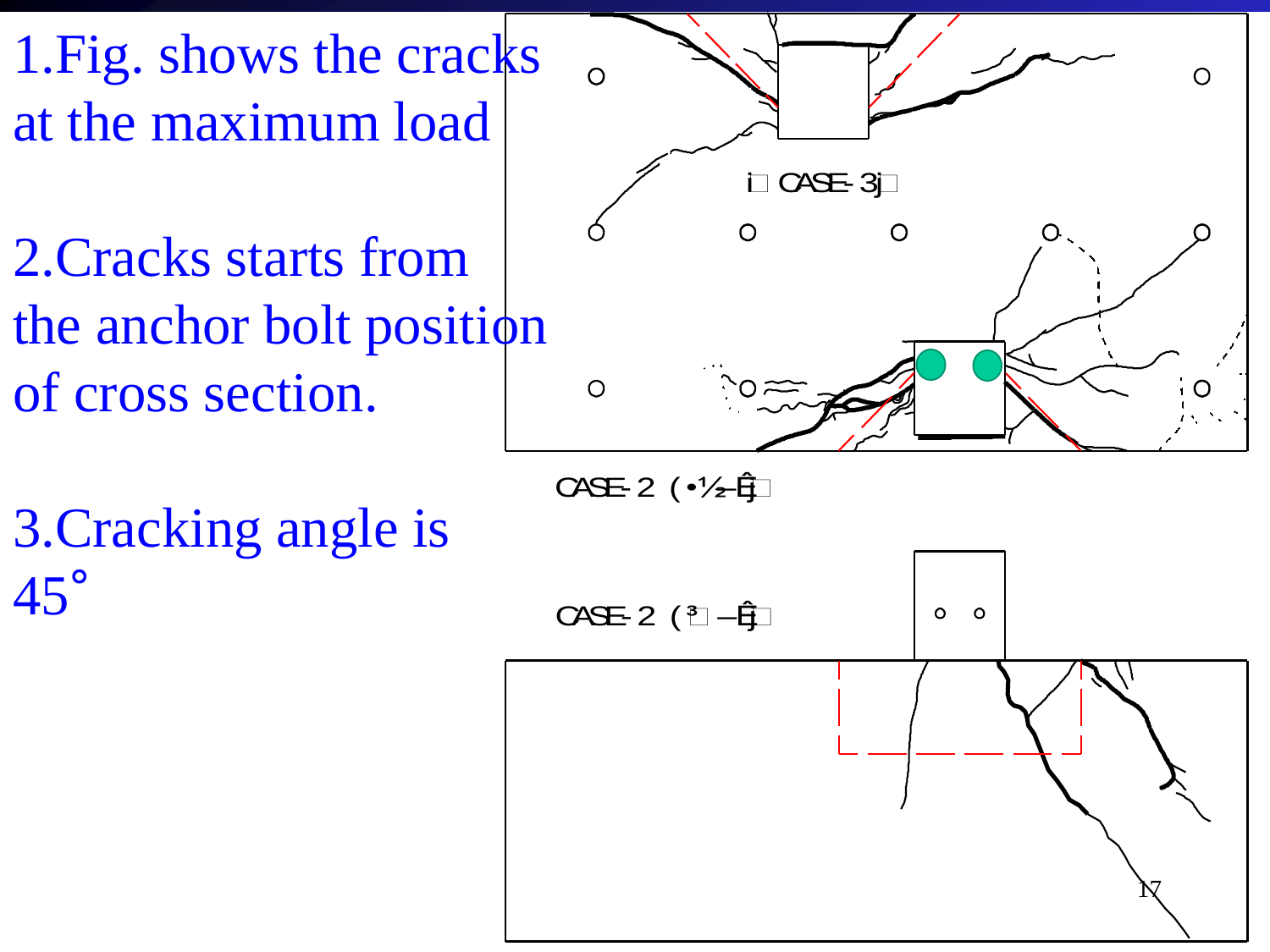1.Fig. shows the cracks at the maximum load

2.Cracks starts from the anchor bolt position of cross section.

 $\Omega$  $\Omega$  $\Box$  CASE-3 $\Box$  $\Omega$  $\Omega$  $\circ$  $\approx$ 

CASE-2 (•½–Êj

3.Cracking angle is 45°